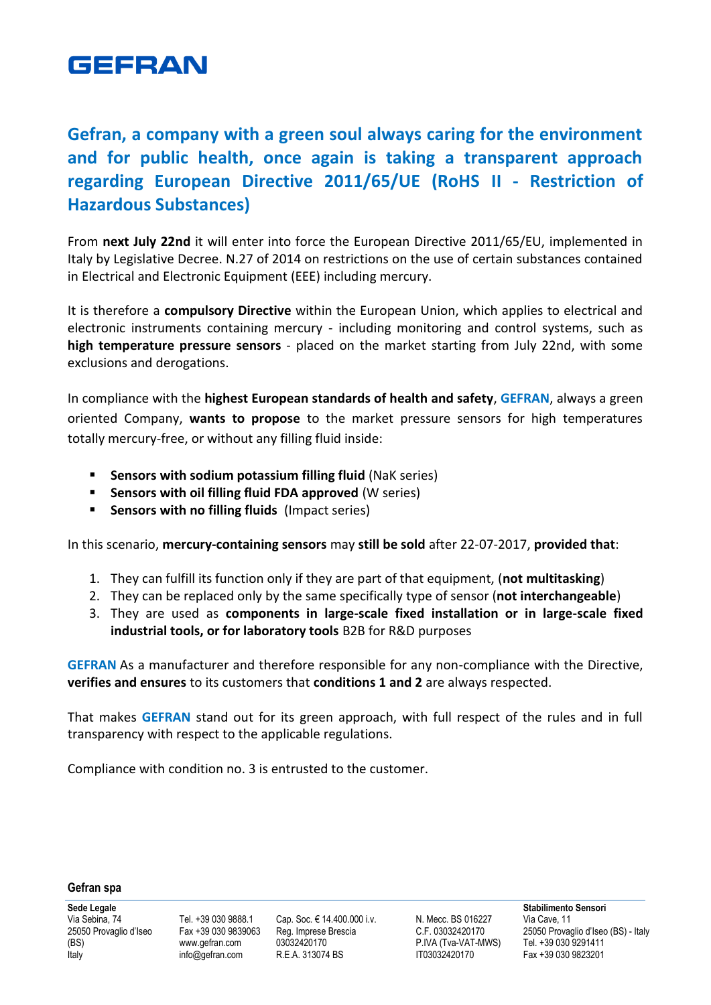

# **Gefran, a company with a green soul always caring for the environment and for public health, once again is taking a transparent approach regarding European Directive 2011/65/UE (RoHS II - Restriction of Hazardous Substances)**

From **next July 22nd** it will enter into force the European Directive 2011/65/EU, implemented in Italy by Legislative Decree. N.27 of 2014 on restrictions on the use of certain substances contained in Electrical and Electronic Equipment (EEE) including mercury.

It is therefore a **compulsory Directive** within the European Union, which applies to electrical and electronic instruments containing mercury - including monitoring and control systems, such as **high temperature pressure sensors** - placed on the market starting from July 22nd, with some exclusions and derogations.

In compliance with the **highest European standards of health and safety**, **GEFRAN**, always a green oriented Company, **wants to propose** to the market pressure sensors for high temperatures totally mercury-free, or without any filling fluid inside:

- **Sensors with sodium potassium filling fluid** (NaK series)
- **Sensors with oil filling fluid FDA approved** (W series)
- **Sensors with no filling fluids** (Impact series)

In this scenario, **mercury-containing sensors** may **still be sold** after 22-07-2017, **provided that**:

- 1. They can fulfill its function only if they are part of that equipment, (**not multitasking**)
- 2. They can be replaced only by the same specifically type of sensor (**not interchangeable**)
- 3. They are used as **components in large-scale fixed installation or in large-scale fixed industrial tools, or for laboratory tools** B2B for R&D purposes

**GEFRAN** As a manufacturer and therefore responsible for any non-compliance with the Directive, **verifies and ensures** to its customers that **conditions 1 and 2** are always respected.

That makes **GEFRAN** stand out for its green approach, with full respect of the rules and in full transparency with respect to the applicable regulations.

Compliance with condition no. 3 is entrusted to the customer.

#### **Gefran spa**

**Sede Legale** Via Sebina, 74 25050 Provaglio d'Iseo (BS) Italy

Tel. +39 030 9888.1 Fax +39 030 9839063 [www.gefran.com](http://www.gefran.com/) [info@gefran.com](mailto:info@gefran.com)

Cap. Soc. € 14.400.000 i.v. Reg. Imprese Brescia 03032420170 R.E.A. 313074 BS

N. Mecc. BS 016227 C.F. 03032420170 P.IVA (Tva-VAT-MWS) IT03032420170

**Stabilimento Sensori** Via Cave, 11 25050 Provaglio d'Iseo (BS) - Italy Tel. +39 030 9291411 Fax +39 030 9823201